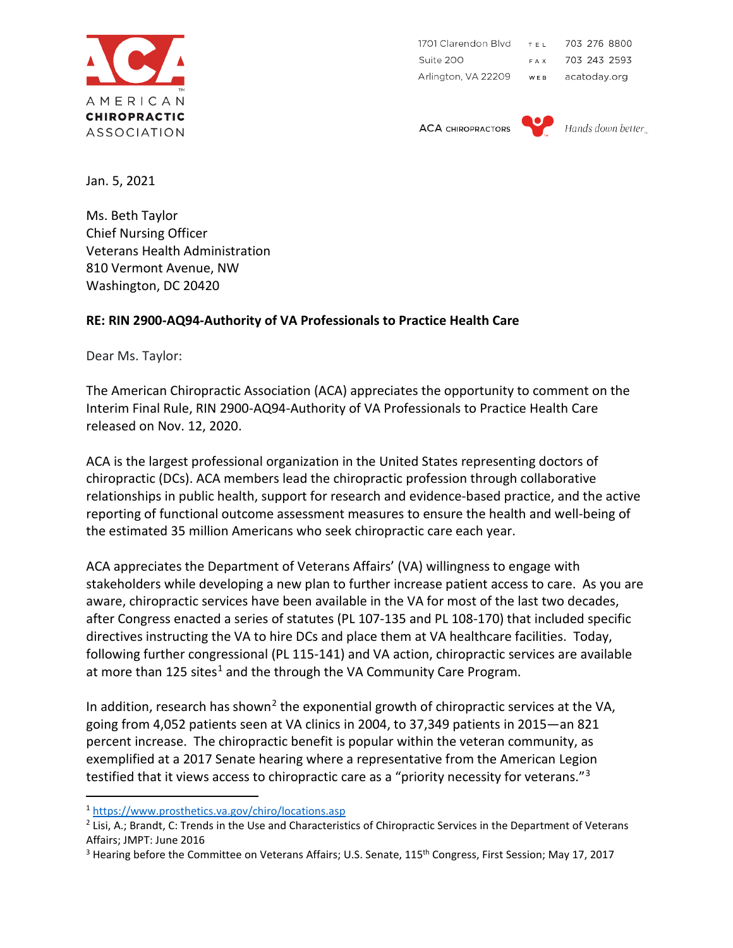

1701 Clarendon Blvd TEL. 703 276 8800 Suite 200 703 243 2593 FAX . Arlington, VA 22209 acatoday.org WER

**ACA CHIROPRACTORS** 



Hands down better

Jan. 5, 2021

Ms. Beth Taylor Chief Nursing Officer Veterans Health Administration 810 Vermont Avenue, NW Washington, DC 20420

## **RE: RIN 2900-AQ94-Authority of VA Professionals to Practice Health Care**

Dear Ms. Taylor:

The American Chiropractic Association (ACA) appreciates the opportunity to comment on the Interim Final Rule, RIN 2900-AQ94-Authority of VA Professionals to Practice Health Care released on Nov. 12, 2020.

ACA is the largest professional organization in the United States representing doctors of chiropractic (DCs). ACA members lead the chiropractic profession through collaborative relationships in public health, support for research and evidence-based practice, and the active reporting of functional outcome assessment measures to ensure the health and well-being of the estimated 35 million Americans who seek chiropractic care each year.

ACA appreciates the Department of Veterans Affairs' (VA) willingness to engage with stakeholders while developing a new plan to further increase patient access to care. As you are aware, chiropractic services have been available in the VA for most of the last two decades, after Congress enacted a series of statutes (PL 107-135 and PL 108-170) that included specific directives instructing the VA to hire DCs and place them at VA healthcare facilities. Today, following further congressional (PL 115-141) and VA action, chiropractic services are available at more than  $125$  $125$  sites<sup>1</sup> and the through the VA Community Care Program.

In addition, research has shown<sup>[2](#page-0-1)</sup> the exponential growth of chiropractic services at the VA, going from 4,052 patients seen at VA clinics in 2004, to 37,349 patients in 2015—an 821 percent increase. The chiropractic benefit is popular within the veteran community, as exemplified at a 2017 Senate hearing where a representative from the American Legion testified that it views access to chiropractic care as a "priority necessity for veterans."<sup>[3](#page-0-2)</sup>

<span id="page-0-0"></span><sup>1</sup> <https://www.prosthetics.va.gov/chiro/locations.asp>

<span id="page-0-1"></span><sup>&</sup>lt;sup>2</sup> Lisi, A.; Brandt, C: Trends in the Use and Characteristics of Chiropractic Services in the Department of Veterans Affairs; JMPT: June 2016

<span id="page-0-2"></span><sup>&</sup>lt;sup>3</sup> Hearing before the Committee on Veterans Affairs; U.S. Senate, 115<sup>th</sup> Congress, First Session; May 17, 2017